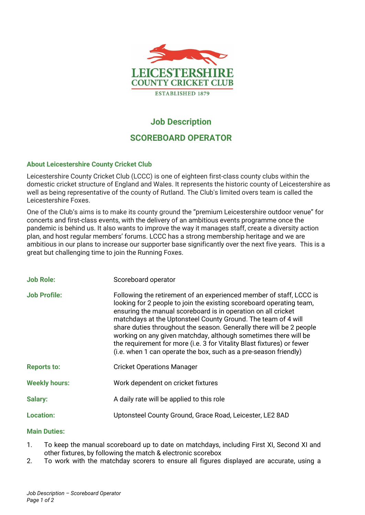

# **Job Description**

## **SCOREBOARD OPERATOR**

## **About Leicestershire County Cricket Club**

Leicestershire County Cricket Club (LCCC) is one of eighteen first-class county clubs within the domestic cricket structure of England and Wales. It represents the historic county of Leicestershire as well as being representative of the county of Rutland. The Club's limited overs team is called the Leicestershire Foxes.

One of the Club's aims is to make its county ground the "premium Leicestershire outdoor venue" for concerts and first-class events, with the delivery of an ambitious events programme once the pandemic is behind us. It also wants to improve the way it manages staff, create a diversity action plan, and host regular members' forums. LCCC has a strong membership heritage and we are ambitious in our plans to increase our supporter base significantly over the next five years. This is a great but challenging time to join the Running Foxes.

| <b>Job Role:</b>     | Scoreboard operator                                                                                                                                                                                                                                                                                                                                                                                                                                                                                                                                                    |
|----------------------|------------------------------------------------------------------------------------------------------------------------------------------------------------------------------------------------------------------------------------------------------------------------------------------------------------------------------------------------------------------------------------------------------------------------------------------------------------------------------------------------------------------------------------------------------------------------|
| <b>Job Profile:</b>  | Following the retirement of an experienced member of staff, LCCC is<br>looking for 2 people to join the existing scoreboard operating team,<br>ensuring the manual scoreboard is in operation on all cricket<br>matchdays at the Uptonsteel County Ground. The team of 4 will<br>share duties throughout the season. Generally there will be 2 people<br>working on any given matchday, although sometimes there will be<br>the requirement for more (i.e. 3 for Vitality Blast fixtures) or fewer<br>(i.e. when 1 can operate the box, such as a pre-season friendly) |
| <b>Reports to:</b>   | <b>Cricket Operations Manager</b>                                                                                                                                                                                                                                                                                                                                                                                                                                                                                                                                      |
| <b>Weekly hours:</b> | Work dependent on cricket fixtures                                                                                                                                                                                                                                                                                                                                                                                                                                                                                                                                     |
| Salary:              | A daily rate will be applied to this role                                                                                                                                                                                                                                                                                                                                                                                                                                                                                                                              |
| <b>Location:</b>     | Uptonsteel County Ground, Grace Road, Leicester, LE2 8AD                                                                                                                                                                                                                                                                                                                                                                                                                                                                                                               |

#### **Main Duties:**

- 1. To keep the manual scoreboard up to date on matchdays, including First XI, Second XI and other fixtures, by following the match & electronic scorebox
- 2. To work with the matchday scorers to ensure all figures displayed are accurate, using a